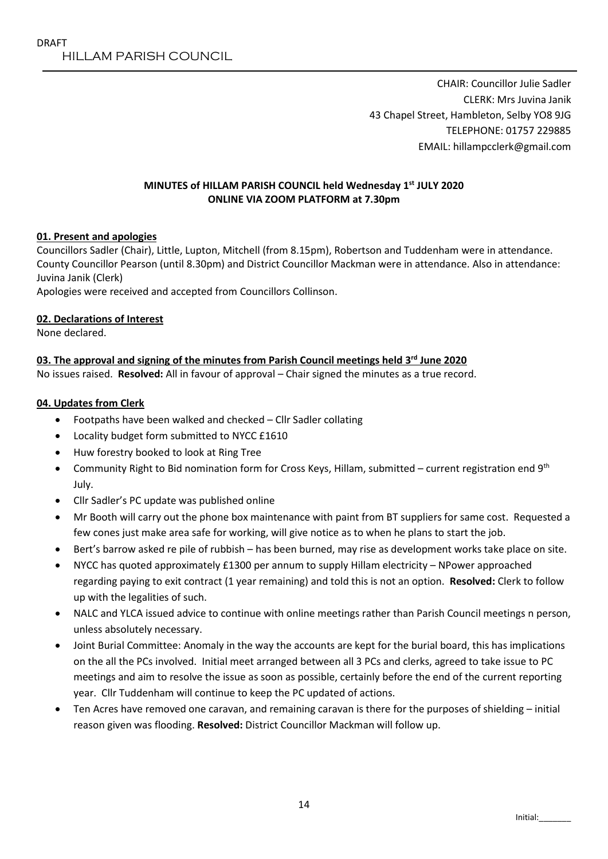CHAIR: Councillor Julie Sadler CLERK: Mrs Juvina Janik 43 Chapel Street, Hambleton, Selby YO8 9JG TELEPHONE: 01757 229885 EMAIL: hillampcclerk@gmail.com

#### **MINUTES of HILLAM PARISH COUNCIL held Wednesday 1 st JULY 2020 ONLINE VIA ZOOM PLATFORM at 7.30pm**

### **01. Present and apologies**

Councillors Sadler (Chair), Little, Lupton, Mitchell (from 8.15pm), Robertson and Tuddenham were in attendance. County Councillor Pearson (until 8.30pm) and District Councillor Mackman were in attendance. Also in attendance: Juvina Janik (Clerk)

Apologies were received and accepted from Councillors Collinson.

#### **02. Declarations of Interest**

None declared.

### **03. The approval and signing of the minutes from Parish Council meetings held 3 rd June 2020**

No issues raised. **Resolved:** All in favour of approval – Chair signed the minutes as a true record.

#### **04. Updates from Clerk**

- Footpaths have been walked and checked Cllr Sadler collating
- Locality budget form submitted to NYCC £1610
- Huw forestry booked to look at Ring Tree
- **Community Right to Bid nomination form for Cross Keys, Hillam, submitted current registration end 9th** July.
- Cllr Sadler's PC update was published online
- Mr Booth will carry out the phone box maintenance with paint from BT suppliers for same cost. Requested a few cones just make area safe for working, will give notice as to when he plans to start the job.
- Bert's barrow asked re pile of rubbish has been burned, may rise as development works take place on site.
- NYCC has quoted approximately £1300 per annum to supply Hillam electricity NPower approached regarding paying to exit contract (1 year remaining) and told this is not an option. **Resolved:** Clerk to follow up with the legalities of such.
- NALC and YLCA issued advice to continue with online meetings rather than Parish Council meetings n person, unless absolutely necessary.
- Joint Burial Committee: Anomaly in the way the accounts are kept for the burial board, this has implications on the all the PCs involved. Initial meet arranged between all 3 PCs and clerks, agreed to take issue to PC meetings and aim to resolve the issue as soon as possible, certainly before the end of the current reporting year. Cllr Tuddenham will continue to keep the PC updated of actions.
- Ten Acres have removed one caravan, and remaining caravan is there for the purposes of shielding initial reason given was flooding. **Resolved:** District Councillor Mackman will follow up.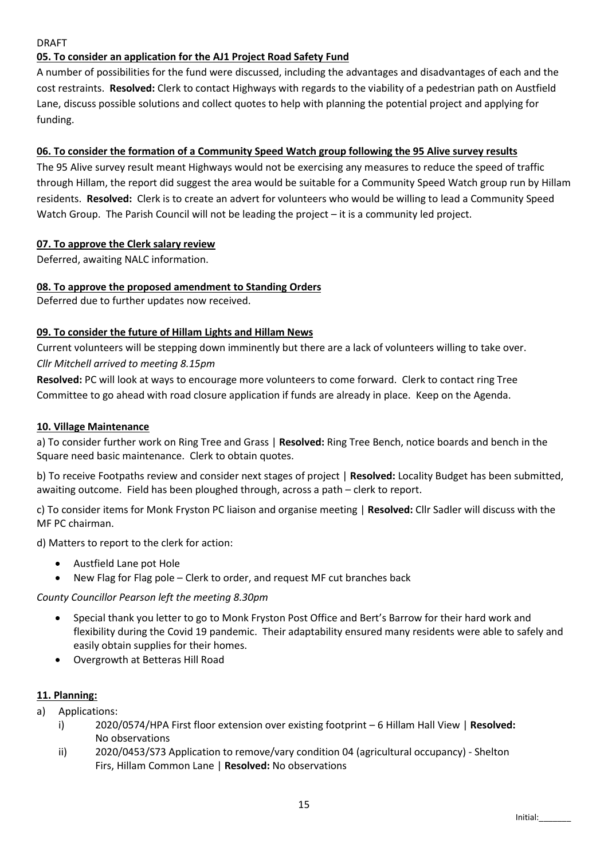### DRAFT

# **05. To consider an application for the AJ1 Project Road Safety Fund**

A number of possibilities for the fund were discussed, including the advantages and disadvantages of each and the cost restraints. **Resolved:** Clerk to contact Highways with regards to the viability of a pedestrian path on Austfield Lane, discuss possible solutions and collect quotes to help with planning the potential project and applying for funding.

## **06. To consider the formation of a Community Speed Watch group following the 95 Alive survey results**

The 95 Alive survey result meant Highways would not be exercising any measures to reduce the speed of traffic through Hillam, the report did suggest the area would be suitable for a Community Speed Watch group run by Hillam residents. **Resolved:** Clerk is to create an advert for volunteers who would be willing to lead a Community Speed Watch Group. The Parish Council will not be leading the project – it is a community led project.

## **07. To approve the Clerk salary review**

Deferred, awaiting NALC information.

### **08. To approve the proposed amendment to Standing Orders**

Deferred due to further updates now received.

## **09. To consider the future of Hillam Lights and Hillam News**

Current volunteers will be stepping down imminently but there are a lack of volunteers willing to take over. *Cllr Mitchell arrived to meeting 8.15pm*

**Resolved:** PC will look at ways to encourage more volunteers to come forward. Clerk to contact ring Tree Committee to go ahead with road closure application if funds are already in place. Keep on the Agenda.

#### **10. Village Maintenance**

a) To consider further work on Ring Tree and Grass | **Resolved:** Ring Tree Bench, notice boards and bench in the Square need basic maintenance. Clerk to obtain quotes.

b) To receive Footpaths review and consider next stages of project | **Resolved:** Locality Budget has been submitted, awaiting outcome. Field has been ploughed through, across a path – clerk to report.

c) To consider items for Monk Fryston PC liaison and organise meeting | **Resolved:** Cllr Sadler will discuss with the MF PC chairman.

d) Matters to report to the clerk for action:

- Austfield Lane pot Hole
- New Flag for Flag pole Clerk to order, and request MF cut branches back

*County Councillor Pearson left the meeting 8.30pm*

- Special thank you letter to go to Monk Fryston Post Office and Bert's Barrow for their hard work and flexibility during the Covid 19 pandemic. Their adaptability ensured many residents were able to safely and easily obtain supplies for their homes.
- Overgrowth at Betteras Hill Road

### **11. Planning:**

- a) Applications:
	- i) 2020/0574/HPA First floor extension over existing footprint 6 Hillam Hall View | **Resolved:** No observations
	- ii) 2020/0453/S73 Application to remove/vary condition 04 (agricultural occupancy) Shelton Firs, Hillam Common Lane | **Resolved:** No observations